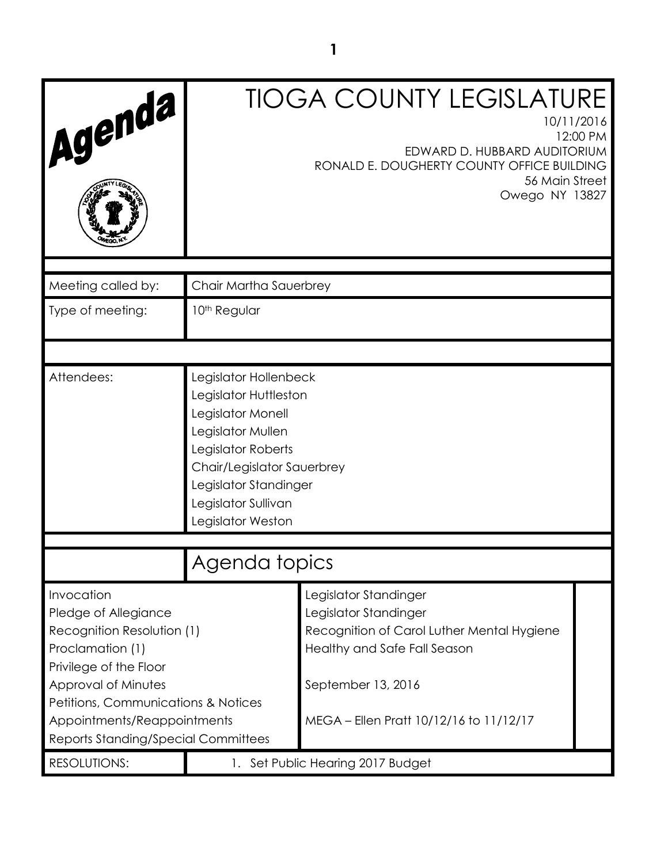| Agenda                                                                                                                                                                                                                                             |                                                                                                                                                                                                                   | <b>TIOGA COUNTY LEGISLATURE</b><br>10/11/2016<br>12:00 PM<br>EDWARD D. HUBBARD AUDITORIUM<br>RONALD E. DOUGHERTY COUNTY OFFICE BUILDING<br>56 Main Street<br>Owego NY 13827 |  |
|----------------------------------------------------------------------------------------------------------------------------------------------------------------------------------------------------------------------------------------------------|-------------------------------------------------------------------------------------------------------------------------------------------------------------------------------------------------------------------|-----------------------------------------------------------------------------------------------------------------------------------------------------------------------------|--|
| Meeting called by:                                                                                                                                                                                                                                 | Chair Martha Sauerbrey                                                                                                                                                                                            |                                                                                                                                                                             |  |
| Type of meeting:                                                                                                                                                                                                                                   | 10 <sup>th</sup> Regular                                                                                                                                                                                          |                                                                                                                                                                             |  |
|                                                                                                                                                                                                                                                    |                                                                                                                                                                                                                   |                                                                                                                                                                             |  |
| Attendees:                                                                                                                                                                                                                                         | Legislator Hollenbeck<br>Legislator Huttleston<br>Legislator Monell<br>Legislator Mullen<br>Legislator Roberts<br>Chair/Legislator Sauerbrey<br>Legislator Standinger<br>Legislator Sullivan<br>Legislator Weston |                                                                                                                                                                             |  |
|                                                                                                                                                                                                                                                    | Agenda topics                                                                                                                                                                                                     |                                                                                                                                                                             |  |
| Invocation<br>Pledge of Allegiance<br>Recognition Resolution (1)<br>Proclamation (1)<br>Privilege of the Floor<br>Approval of Minutes<br>Petitions, Communications & Notices<br>Appointments/Reappointments<br>Reports Standing/Special Committees | Legislator Standinger<br>Legislator Standinger<br>Recognition of Carol Luther Mental Hygiene<br>Healthy and Safe Fall Season<br>September 13, 2016<br>MEGA - Ellen Pratt 10/12/16 to 11/12/17                     |                                                                                                                                                                             |  |
| <b>RESOLUTIONS:</b>                                                                                                                                                                                                                                |                                                                                                                                                                                                                   | Set Public Hearing 2017 Budget                                                                                                                                              |  |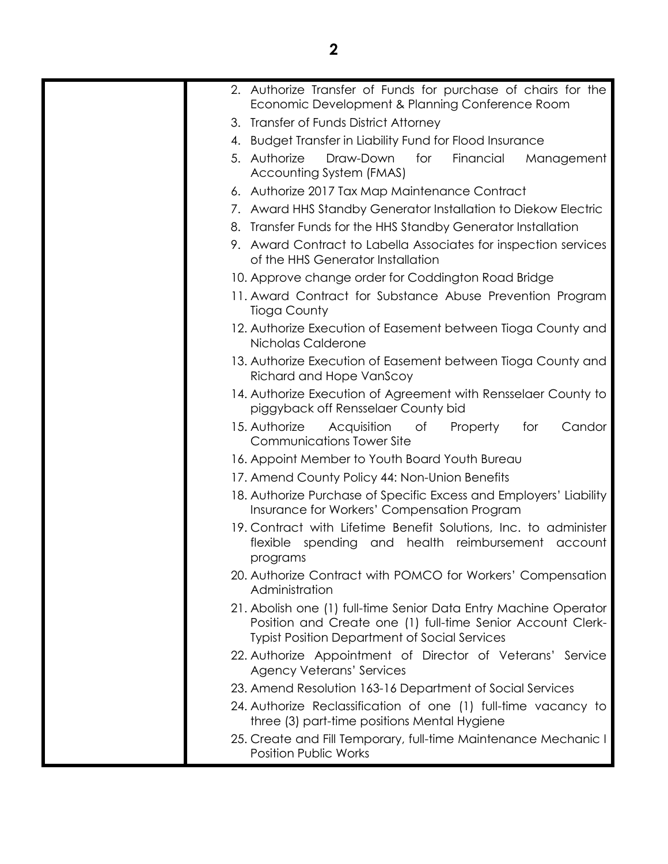| 2. Authorize Transfer of Funds for purchase of chairs for the<br>Economic Development & Planning Conference Room                                                                        |
|-----------------------------------------------------------------------------------------------------------------------------------------------------------------------------------------|
| 3. Transfer of Funds District Attorney                                                                                                                                                  |
| 4. Budget Transfer in Liability Fund for Flood Insurance                                                                                                                                |
| 5. Authorize<br>Draw-Down<br>for<br>Financial<br>Management<br>Accounting System (FMAS)                                                                                                 |
| 6. Authorize 2017 Tax Map Maintenance Contract                                                                                                                                          |
| 7. Award HHS Standby Generator Installation to Diekow Electric                                                                                                                          |
| 8. Transfer Funds for the HHS Standby Generator Installation                                                                                                                            |
| 9. Award Contract to Labella Associates for inspection services<br>of the HHS Generator Installation                                                                                    |
| 10. Approve change order for Coddington Road Bridge                                                                                                                                     |
| 11. Award Contract for Substance Abuse Prevention Program<br><b>Tioga County</b>                                                                                                        |
| 12. Authorize Execution of Easement between Tioga County and<br>Nicholas Calderone                                                                                                      |
| 13. Authorize Execution of Easement between Tioga County and<br>Richard and Hope VanScoy                                                                                                |
| 14. Authorize Execution of Agreement with Rensselaer County to<br>piggyback off Rensselaer County bid                                                                                   |
| 15. Authorize<br>Acquisition<br>of<br>Property<br>for<br>Candor<br><b>Communications Tower Site</b>                                                                                     |
| 16. Appoint Member to Youth Board Youth Bureau                                                                                                                                          |
| 17. Amend County Policy 44: Non-Union Benefits                                                                                                                                          |
| 18. Authorize Purchase of Specific Excess and Employers' Liability<br>Insurance for Workers' Compensation Program                                                                       |
| 19. Contract with Lifetime Benefit Solutions, Inc. to administer<br>flexible spending and health reimbursement account<br>programs                                                      |
| 20. Authorize Contract with POMCO for Workers' Compensation<br>Administration                                                                                                           |
| 21. Abolish one (1) full-time Senior Data Entry Machine Operator<br>Position and Create one (1) full-time Senior Account Clerk-<br><b>Typist Position Department of Social Services</b> |
| 22. Authorize Appointment of Director of Veterans' Service<br><b>Agency Veterans' Services</b>                                                                                          |
| 23. Amend Resolution 163-16 Department of Social Services                                                                                                                               |
| 24. Authorize Reclassification of one (1) full-time vacancy to<br>three (3) part-time positions Mental Hygiene                                                                          |
| 25. Create and Fill Temporary, full-time Maintenance Mechanic I<br><b>Position Public Works</b>                                                                                         |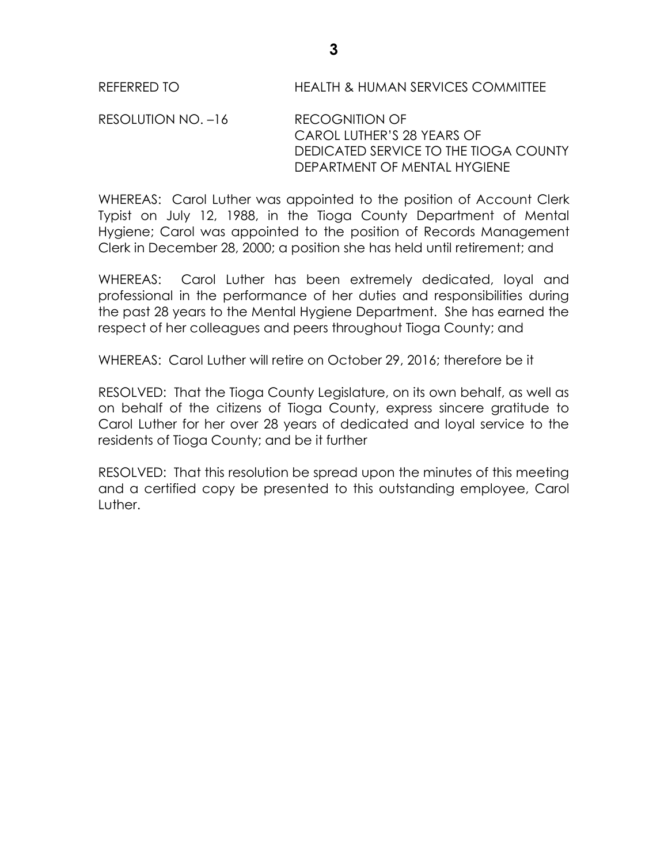REFERRED TO HEALTH & HUMAN SERVICES COMMITTEE

RESOLUTION NO. –16 RECOGNITION OF CAROL LUTHER'S 28 YEARS OF DEDICATED SERVICE TO THE TIOGA COUNTY DEPARTMENT OF MENTAL HYGIENE

WHEREAS: Carol Luther was appointed to the position of Account Clerk Typist on July 12, 1988, in the Tioga County Department of Mental Hygiene; Carol was appointed to the position of Records Management Clerk in December 28, 2000; a position she has held until retirement; and

WHEREAS: Carol Luther has been extremely dedicated, loyal and professional in the performance of her duties and responsibilities during the past 28 years to the Mental Hygiene Department. She has earned the respect of her colleagues and peers throughout Tioga County; and

WHEREAS: Carol Luther will retire on October 29, 2016; therefore be it

RESOLVED: That the Tioga County Legislature, on its own behalf, as well as on behalf of the citizens of Tioga County, express sincere gratitude to Carol Luther for her over 28 years of dedicated and loyal service to the residents of Tioga County; and be it further

RESOLVED: That this resolution be spread upon the minutes of this meeting and a certified copy be presented to this outstanding employee, Carol Luther.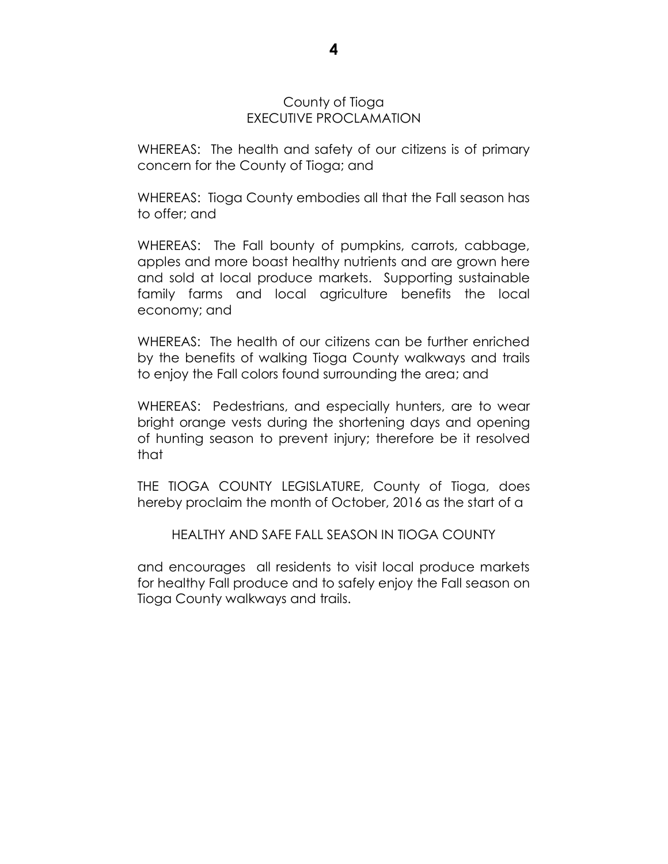#### County of Tioga EXECUTIVE PROCLAMATION

WHEREAS: The health and safety of our citizens is of primary concern for the County of Tioga; and

WHEREAS: Tioga County embodies all that the Fall season has to offer; and

WHEREAS: The Fall bounty of pumpkins, carrots, cabbage, apples and more boast healthy nutrients and are grown here and sold at local produce markets. Supporting sustainable family farms and local agriculture benefits the local economy; and

WHEREAS: The health of our citizens can be further enriched by the benefits of walking Tioga County walkways and trails to enjoy the Fall colors found surrounding the area; and

WHEREAS: Pedestrians, and especially hunters, are to wear bright orange vests during the shortening days and opening of hunting season to prevent injury; therefore be it resolved that

THE TIOGA COUNTY LEGISLATURE, County of Tioga, does hereby proclaim the month of October, 2016 as the start of a

HEALTHY AND SAFE FALL SEASON IN TIOGA COUNTY

and encourages all residents to visit local produce markets for healthy Fall produce and to safely enjoy the Fall season on Tioga County walkways and trails.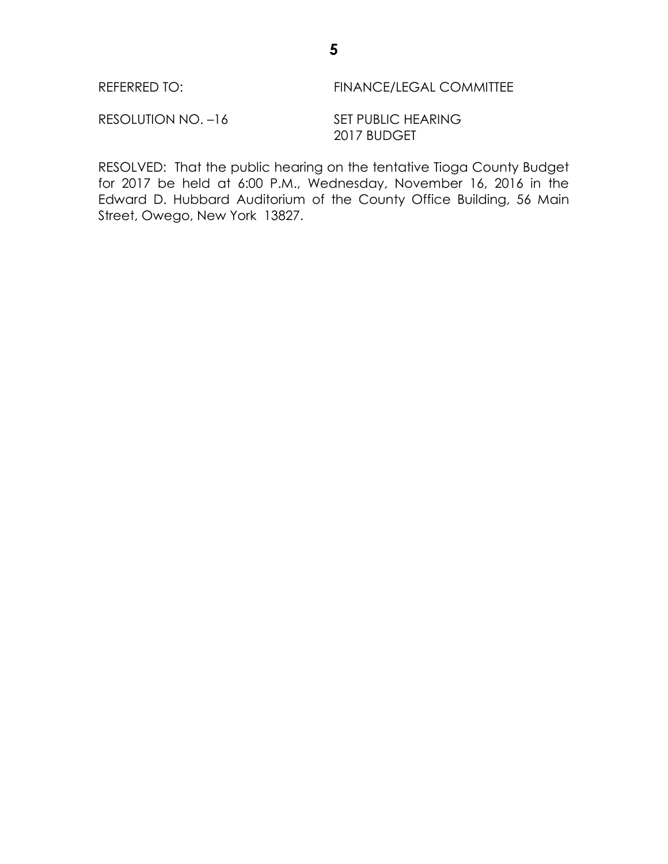| REFERRED TO: | <b>FINANCE/LEGAL COMMITTEE</b> |
|--------------|--------------------------------|
|              |                                |

RESOLUTION NO. -16 SET PUBLIC HEARING 2017 BUDGET

RESOLVED: That the public hearing on the tentative Tioga County Budget for 2017 be held at 6:00 P.M., Wednesday, November 16, 2016 in the Edward D. Hubbard Auditorium of the County Office Building, 56 Main Street, Owego, New York 13827.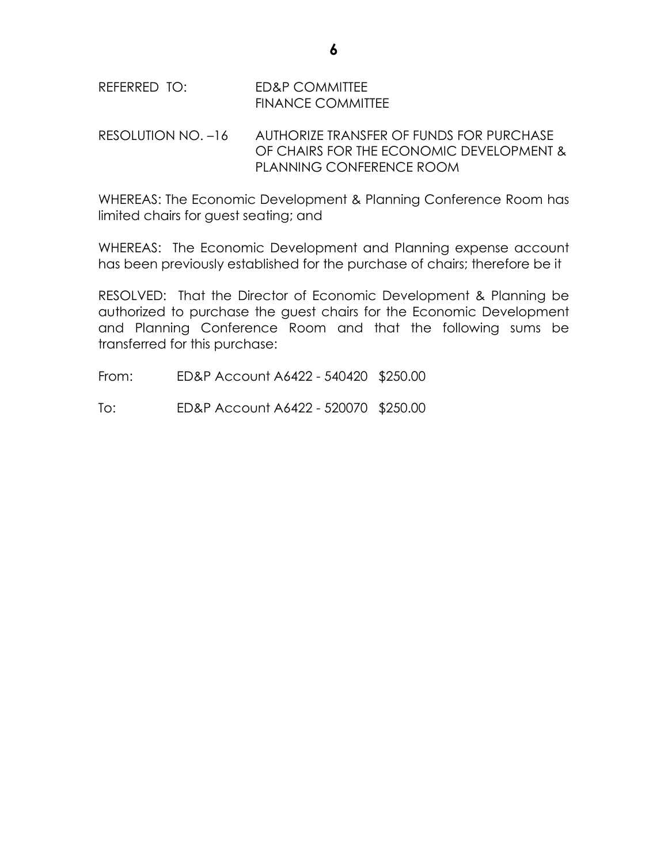| REFERRED TO: | ED&P COMMITTEE           |
|--------------|--------------------------|
|              | <b>FINANCE COMMITTEE</b> |

RESOLUTION NO. –16 AUTHORIZE TRANSFER OF FUNDS FOR PURCHASE OF CHAIRS FOR THE ECONOMIC DEVELOPMENT & PLANNING CONFERENCE ROOM

WHEREAS: The Economic Development & Planning Conference Room has limited chairs for guest seating; and

WHEREAS: The Economic Development and Planning expense account has been previously established for the purchase of chairs; therefore be it

RESOLVED: That the Director of Economic Development & Planning be authorized to purchase the guest chairs for the Economic Development and Planning Conference Room and that the following sums be transferred for this purchase:

From: ED&P Account A6422 - 540420 \$250.00

To: ED&P Account A6422 - 520070 \$250.00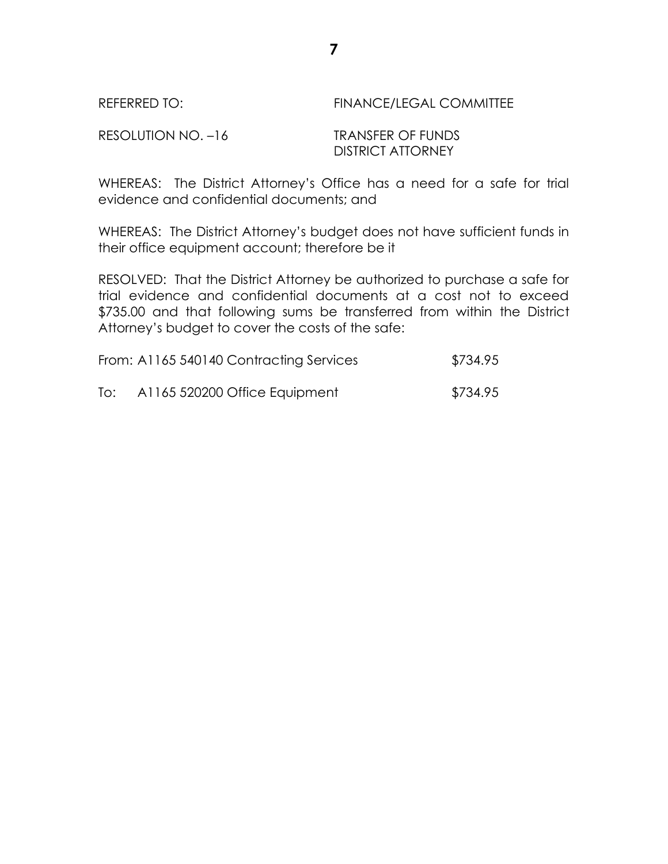| REFERRED TO:       | <b>FINANCE/LEGAL COMMITTEE</b> |
|--------------------|--------------------------------|
| RESOLUTION NO. -16 | TRANSFER OF FUNDS              |
|                    | <b>DISTRICT ATTORNEY</b>       |

WHEREAS: The District Attorney's Office has a need for a safe for trial evidence and confidential documents; and

WHEREAS: The District Attorney's budget does not have sufficient funds in their office equipment account; therefore be it

RESOLVED: That the District Attorney be authorized to purchase a safe for trial evidence and confidential documents at a cost not to exceed \$735.00 and that following sums be transferred from within the District Attorney's budget to cover the costs of the safe:

| From: A1165 540140 Contracting Services | \$734.95 |
|-----------------------------------------|----------|
|                                         |          |

To: A1165 520200 Office Equipment \$734.95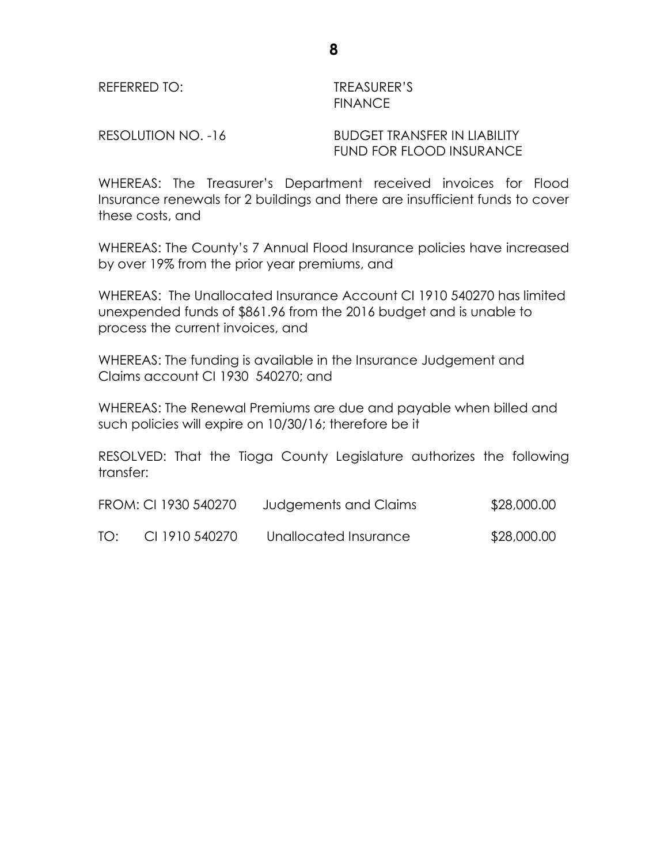REFERRED TO: TREASURER'S

# **FINANCE**

RESOLUTION NO. -16 BUDGET TRANSFER IN LIABILITY FUND FOR FLOOD INSURANCE

WHEREAS: The Treasurer's Department received invoices for Flood Insurance renewals for 2 buildings and there are insufficient funds to cover these costs, and

WHEREAS: The County's 7 Annual Flood Insurance policies have increased by over 19% from the prior year premiums, and

WHEREAS: The Unallocated Insurance Account CI 1910 540270 has limited unexpended funds of \$861.96 from the 2016 budget and is unable to process the current invoices, and

WHEREAS: The funding is available in the Insurance Judgement and Claims account CI 1930 540270; and

WHEREAS: The Renewal Premiums are due and payable when billed and such policies will expire on 10/30/16; therefore be it

RESOLVED: That the Tioga County Legislature authorizes the following transfer:

| FROM: CI 1930 540270 | Judgements and Claims | \$28,000.00 |
|----------------------|-----------------------|-------------|

TO: CI 1910 540270 Unallocated Insurance \$28,000.00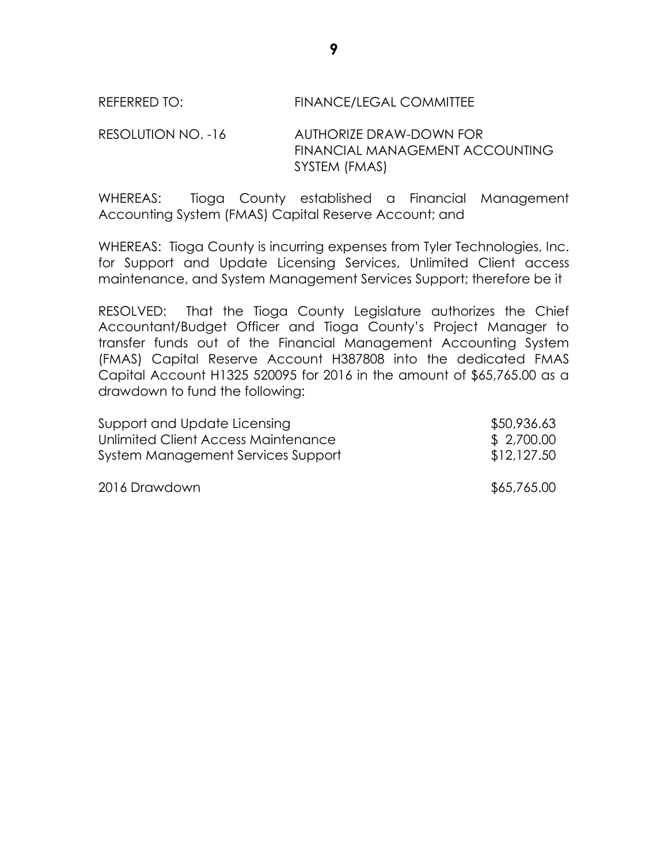#### REFERRED TO: FINANCE/LEGAL COMMITTEE

RESOLUTION NO. -16 AUTHORIZE DRAW-DOWN FOR FINANCIAL MANAGEMENT ACCOUNTING SYSTEM (FMAS)

WHEREAS: Tioga County established a Financial Management Accounting System (FMAS) Capital Reserve Account; and

WHEREAS: Tioga County is incurring expenses from Tyler Technologies, Inc. for Support and Update Licensing Services, Unlimited Client access maintenance, and System Management Services Support; therefore be it

RESOLVED: That the Tioga County Legislature authorizes the Chief Accountant/Budget Officer and Tioga County's Project Manager to transfer funds out of the Financial Management Accounting System (FMAS) Capital Reserve Account H387808 into the dedicated FMAS Capital Account H1325 520095 for 2016 in the amount of \$65,765.00 as a drawdown to fund the following:

| Support and Update Licensing        | \$50,936.63 |
|-------------------------------------|-------------|
| Unlimited Client Access Maintenance | \$ 2,700.00 |
| System Management Services Support  | \$12,127.50 |

2016 Drawdown \$65,765.00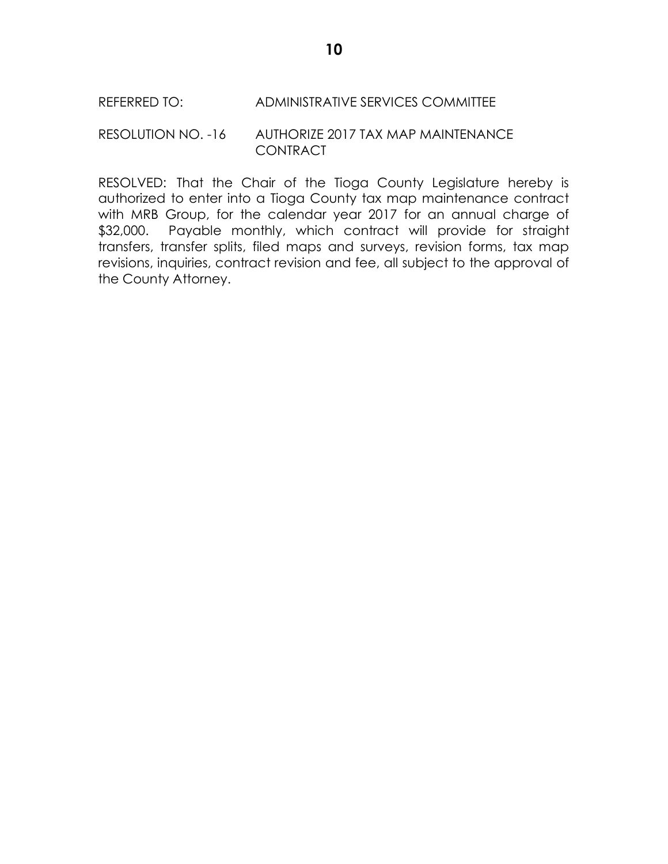# REFERRED TO: ADMINISTRATIVE SERVICES COMMITTEE

#### RESOLUTION NO. -16 AUTHORIZE 2017 TAX MAP MAINTENANCE **CONTRACT**

RESOLVED: That the Chair of the Tioga County Legislature hereby is authorized to enter into a Tioga County tax map maintenance contract with MRB Group, for the calendar year 2017 for an annual charge of \$32,000. Payable monthly, which contract will provide for straight transfers, transfer splits, filed maps and surveys, revision forms, tax map revisions, inquiries, contract revision and fee, all subject to the approval of the County Attorney.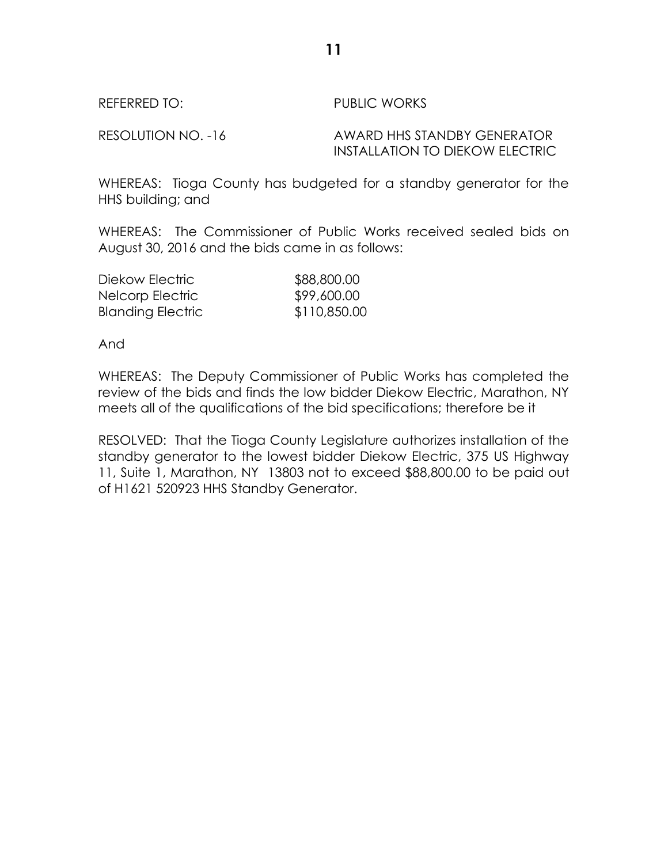RESOLUTION NO. -16 AWARD HHS STANDBY GENERATOR INSTALLATION TO DIEKOW ELECTRIC

WHEREAS: Tioga County has budgeted for a standby generator for the HHS building; and

WHEREAS: The Commissioner of Public Works received sealed bids on August 30, 2016 and the bids came in as follows:

| Diekow Electric          | \$88,800.00  |
|--------------------------|--------------|
| Nelcorp Electric         | \$99,600.00  |
| <b>Blanding Electric</b> | \$110,850.00 |

And

WHEREAS: The Deputy Commissioner of Public Works has completed the review of the bids and finds the low bidder Diekow Electric, Marathon, NY meets all of the qualifications of the bid specifications; therefore be it

RESOLVED: That the Tioga County Legislature authorizes installation of the standby generator to the lowest bidder Diekow Electric, 375 US Highway 11, Suite 1, Marathon, NY 13803 not to exceed \$88,800.00 to be paid out of H1621 520923 HHS Standby Generator.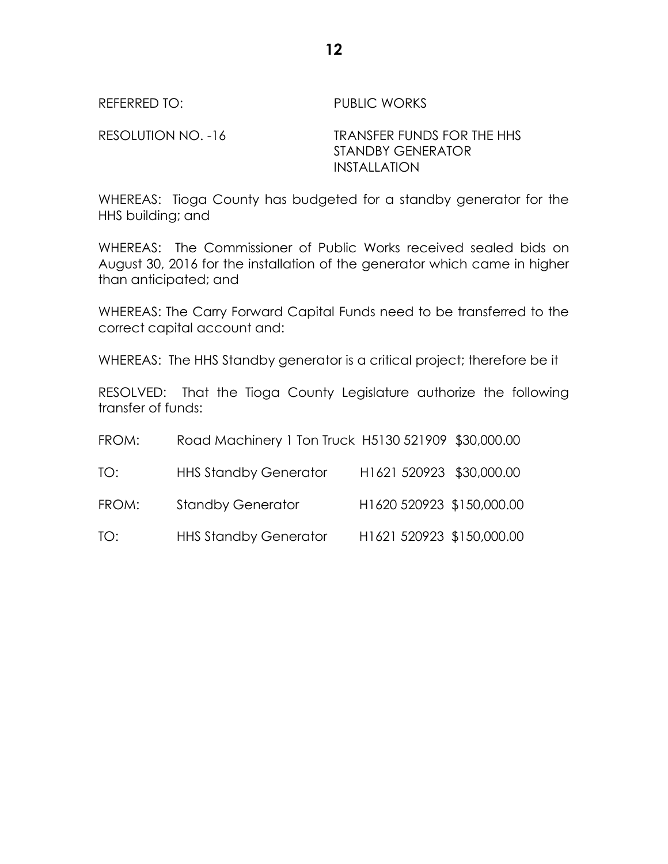RESOLUTION NO. -16 TRANSFER FUNDS FOR THE HHS STANDBY GENERATOR INSTALLATION

WHEREAS: Tioga County has budgeted for a standby generator for the HHS building; and

WHEREAS: The Commissioner of Public Works received sealed bids on August 30, 2016 for the installation of the generator which came in higher than anticipated; and

WHEREAS: The Carry Forward Capital Funds need to be transferred to the correct capital account and:

WHEREAS: The HHS Standby generator is a critical project; therefore be it

RESOLVED: That the Tioga County Legislature authorize the following transfer of funds:

| FROM: | Road Machinery 1 Ton Truck H5130 521909 \$30,000.00 |                           |  |
|-------|-----------------------------------------------------|---------------------------|--|
| TO:   | <b>HHS Standby Generator</b>                        | H1621 520923 \$30,000.00  |  |
| FROM: | <b>Standby Generator</b>                            | H1620 520923 \$150,000.00 |  |
| TO:   | <b>HHS Standby Generator</b>                        | H1621 520923 \$150,000.00 |  |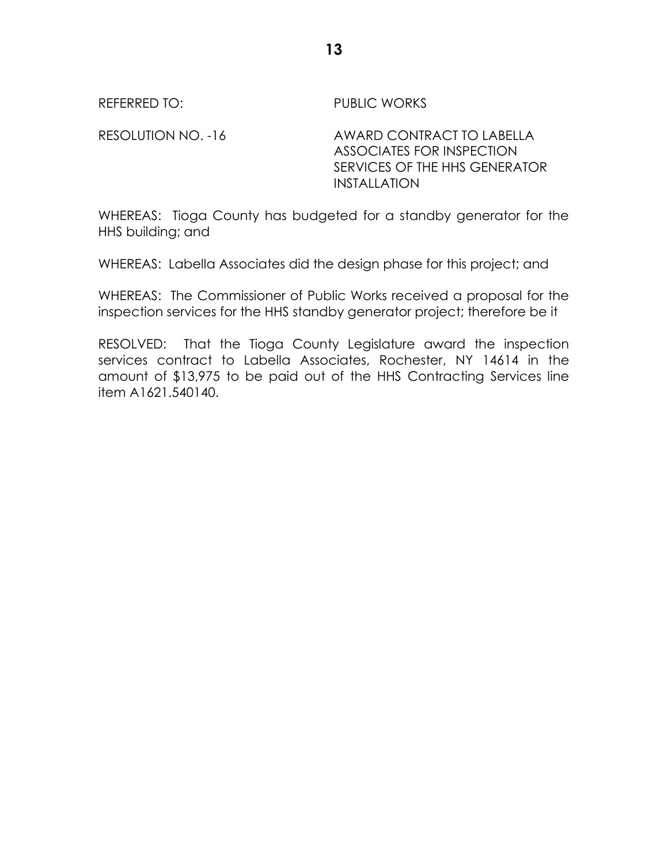RESOLUTION NO. -16 AWARD CONTRACT TO LABELLA ASSOCIATES FOR INSPECTION SERVICES OF THE HHS GENERATOR INSTALLATION

WHEREAS: Tioga County has budgeted for a standby generator for the HHS building; and

WHEREAS: Labella Associates did the design phase for this project; and

WHEREAS: The Commissioner of Public Works received a proposal for the inspection services for the HHS standby generator project; therefore be it

RESOLVED: That the Tioga County Legislature award the inspection services contract to Labella Associates, Rochester, NY 14614 in the amount of \$13,975 to be paid out of the HHS Contracting Services line item A1621.540140.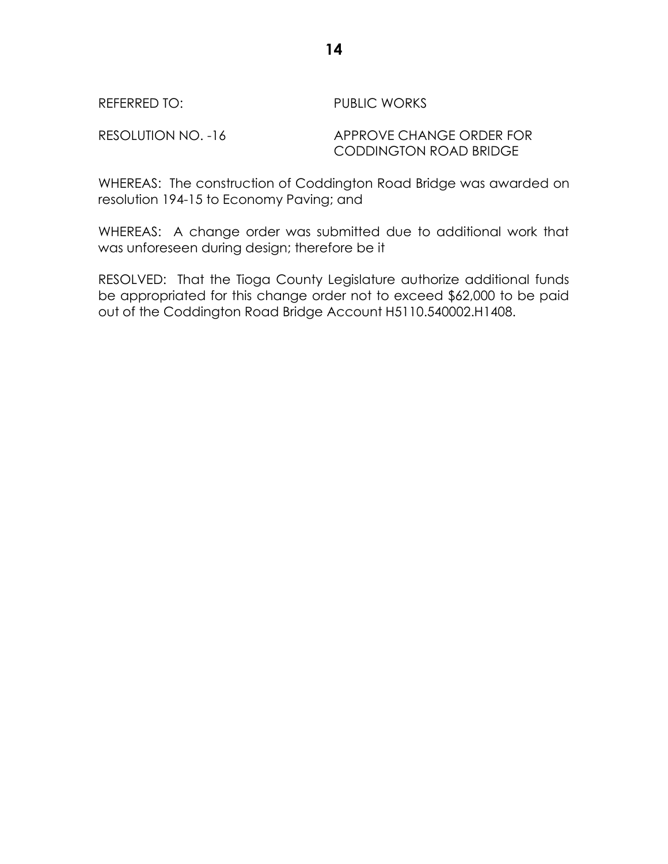RESOLUTION NO. -16 APPROVE CHANGE ORDER FOR CODDINGTON ROAD BRIDGE

WHEREAS: The construction of Coddington Road Bridge was awarded on resolution 194-15 to Economy Paving; and

WHEREAS: A change order was submitted due to additional work that was unforeseen during design; therefore be it

RESOLVED: That the Tioga County Legislature authorize additional funds be appropriated for this change order not to exceed \$62,000 to be paid out of the Coddington Road Bridge Account H5110.540002.H1408.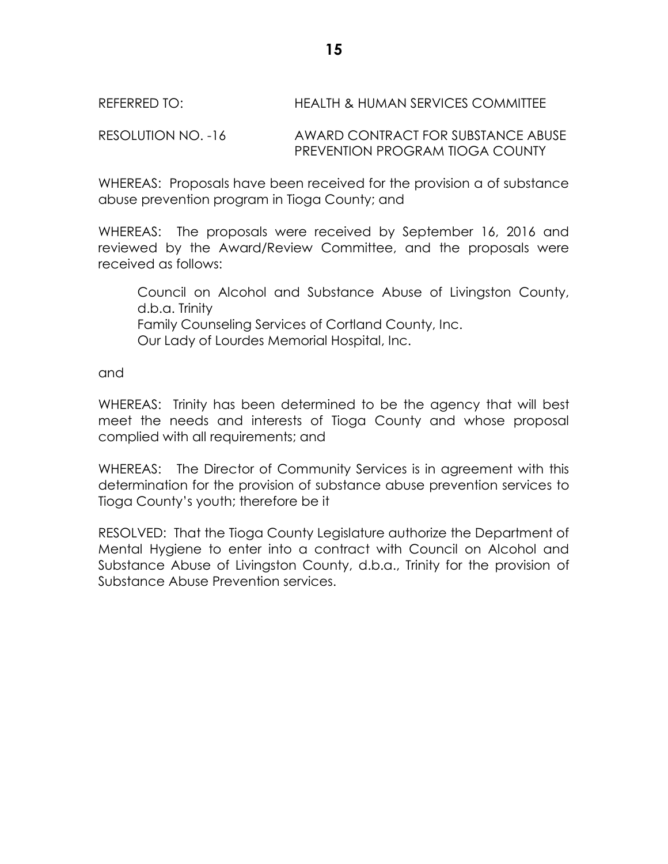# REFERRED TO: HEALTH & HUMAN SERVICES COMMITTEE

RESOLUTION NO. -16 AWARD CONTRACT FOR SUBSTANCE ABUSE PREVENTION PROGRAM TIOGA COUNTY

WHEREAS: Proposals have been received for the provision a of substance abuse prevention program in Tioga County; and

WHEREAS: The proposals were received by September 16, 2016 and reviewed by the Award/Review Committee, and the proposals were received as follows:

Council on Alcohol and Substance Abuse of Livingston County, d.b.a. Trinity Family Counseling Services of Cortland County, Inc. Our Lady of Lourdes Memorial Hospital, Inc.

and

WHEREAS: Trinity has been determined to be the agency that will best meet the needs and interests of Tioga County and whose proposal complied with all requirements; and

WHEREAS: The Director of Community Services is in agreement with this determination for the provision of substance abuse prevention services to Tioga County's youth; therefore be it

RESOLVED: That the Tioga County Legislature authorize the Department of Mental Hygiene to enter into a contract with Council on Alcohol and Substance Abuse of Livingston County, d.b.a., Trinity for the provision of Substance Abuse Prevention services.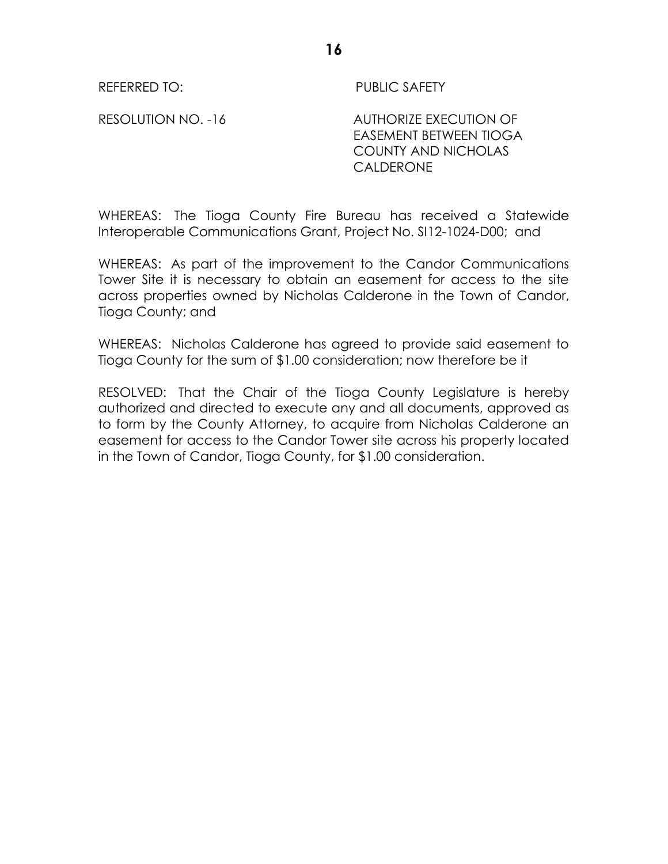RESOLUTION NO. -16 AUTHORIZE EXECUTION OF EASEMENT BETWEEN TIOGA COUNTY AND NICHOLAS **CALDERONE** 

WHEREAS: The Tioga County Fire Bureau has received a Statewide Interoperable Communications Grant, Project No. SI12-1024-D00; and

WHEREAS: As part of the improvement to the Candor Communications Tower Site it is necessary to obtain an easement for access to the site across properties owned by Nicholas Calderone in the Town of Candor, Tioga County; and

WHEREAS: Nicholas Calderone has agreed to provide said easement to Tioga County for the sum of \$1.00 consideration; now therefore be it

RESOLVED: That the Chair of the Tioga County Legislature is hereby authorized and directed to execute any and all documents, approved as to form by the County Attorney, to acquire from Nicholas Calderone an easement for access to the Candor Tower site across his property located in the Town of Candor, Tioga County, for \$1.00 consideration.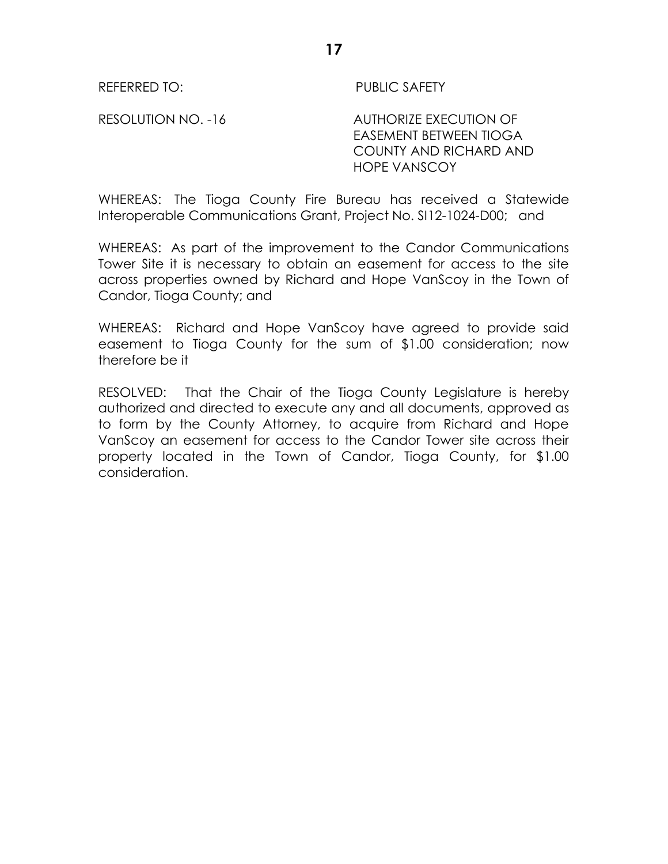RESOLUTION NO. -16 AUTHORIZE EXECUTION OF EASEMENT BETWEEN TIOGA COUNTY AND RICHARD AND HOPE VANSCOY

WHEREAS: The Tioga County Fire Bureau has received a Statewide Interoperable Communications Grant, Project No. SI12-1024-D00; and

WHEREAS: As part of the improvement to the Candor Communications Tower Site it is necessary to obtain an easement for access to the site across properties owned by Richard and Hope VanScoy in the Town of Candor, Tioga County; and

WHEREAS: Richard and Hope VanScoy have agreed to provide said easement to Tioga County for the sum of \$1.00 consideration; now therefore be it

RESOLVED: That the Chair of the Tioga County Legislature is hereby authorized and directed to execute any and all documents, approved as to form by the County Attorney, to acquire from Richard and Hope VanScoy an easement for access to the Candor Tower site across their property located in the Town of Candor, Tioga County, for \$1.00 consideration.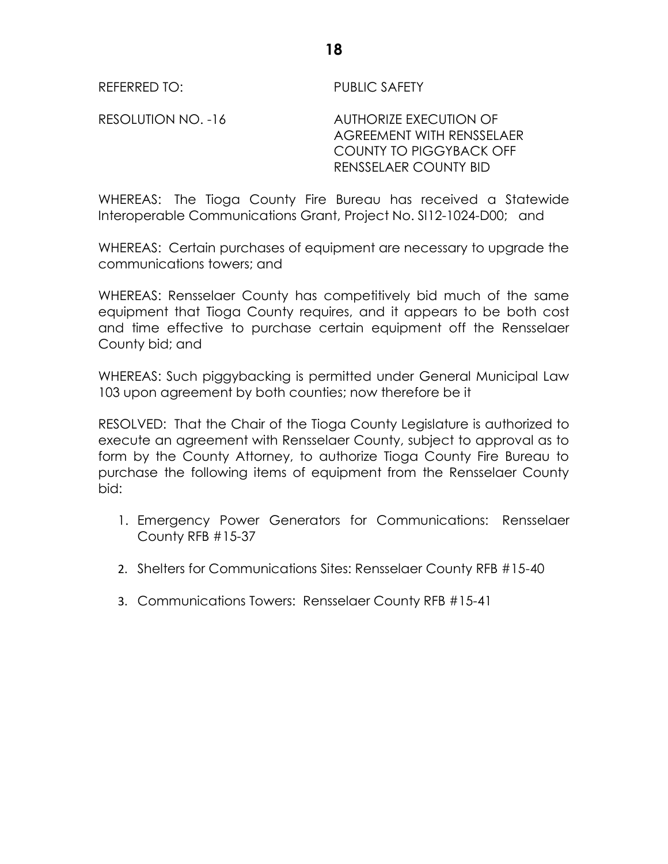RESOLUTION NO. -16 AUTHORIZE EXECUTION OF AGREEMENT WITH RENSSELAER COUNTY TO PIGGYBACK OFF RENSSELAER COUNTY BID

WHEREAS: The Tioga County Fire Bureau has received a Statewide Interoperable Communications Grant, Project No. SI12-1024-D00; and

WHEREAS: Certain purchases of equipment are necessary to upgrade the communications towers; and

WHEREAS: Rensselaer County has competitively bid much of the same equipment that Tioga County requires, and it appears to be both cost and time effective to purchase certain equipment off the Rensselaer County bid; and

WHEREAS: Such piggybacking is permitted under General Municipal Law 103 upon agreement by both counties; now therefore be it

RESOLVED: That the Chair of the Tioga County Legislature is authorized to execute an agreement with Rensselaer County, subject to approval as to form by the County Attorney, to authorize Tioga County Fire Bureau to purchase the following items of equipment from the Rensselaer County bid:

- 1. Emergency Power Generators for Communications: Rensselaer County RFB #15-37
- 2. Shelters for Communications Sites: Rensselaer County RFB #15-40
- 3. Communications Towers: Rensselaer County RFB #15-41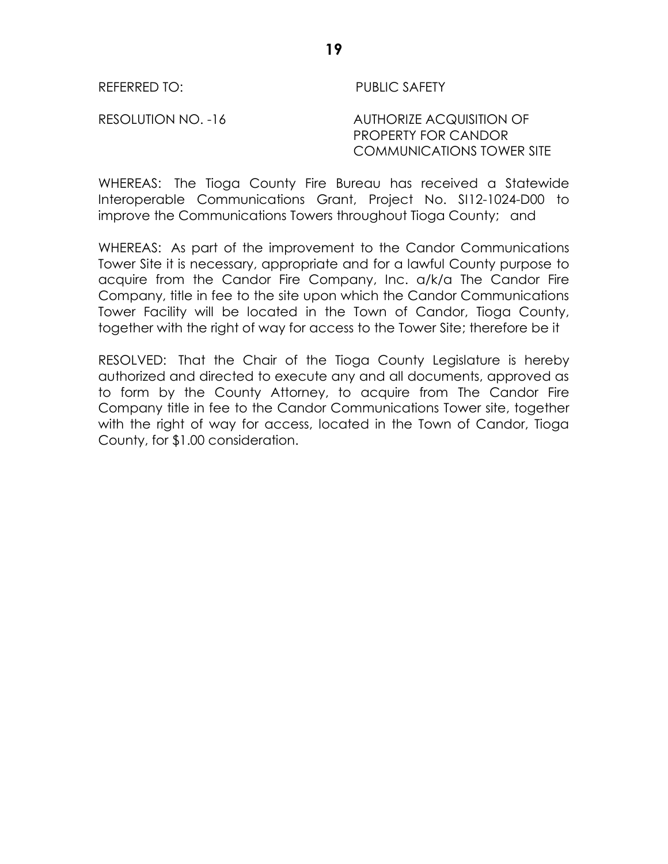#### RESOLUTION NO. -16 AUTHORIZE ACQUISITION OF PROPERTY FOR CANDOR COMMUNICATIONS TOWER SITE

WHEREAS: The Tioga County Fire Bureau has received a Statewide Interoperable Communications Grant, Project No. SI12-1024-D00 to improve the Communications Towers throughout Tioga County; and

WHEREAS: As part of the improvement to the Candor Communications Tower Site it is necessary, appropriate and for a lawful County purpose to acquire from the Candor Fire Company, Inc. a/k/a The Candor Fire Company, title in fee to the site upon which the Candor Communications Tower Facility will be located in the Town of Candor, Tioga County, together with the right of way for access to the Tower Site; therefore be it

RESOLVED: That the Chair of the Tioga County Legislature is hereby authorized and directed to execute any and all documents, approved as to form by the County Attorney, to acquire from The Candor Fire Company title in fee to the Candor Communications Tower site, together with the right of way for access, located in the Town of Candor, Tioga County, for \$1.00 consideration.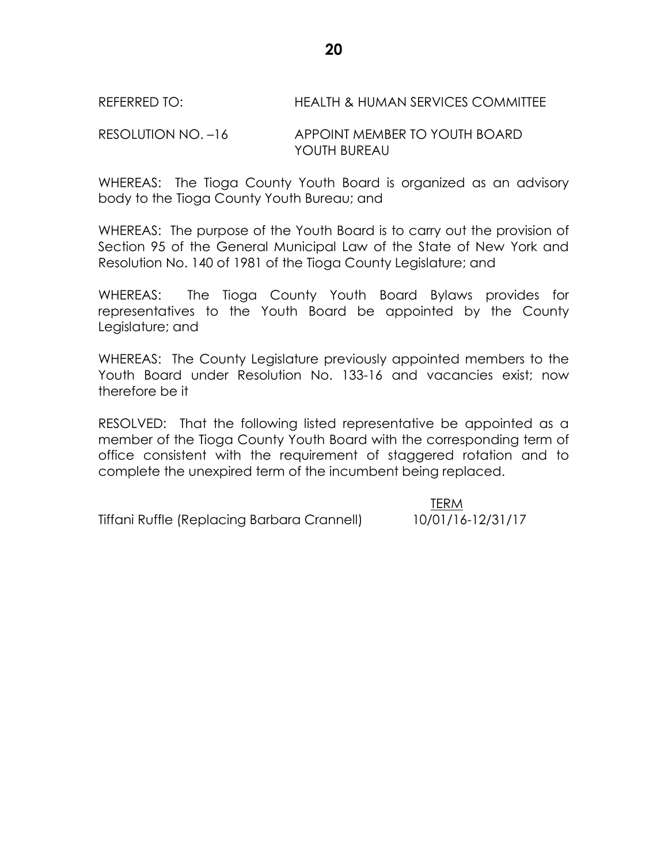# REFERRED TO: HEALTH & HUMAN SERVICES COMMITTEE

# RESOLUTION NO. –16 APPOINT MEMBER TO YOUTH BOARD YOUTH BUREAU

WHEREAS: The Tioga County Youth Board is organized as an advisory body to the Tioga County Youth Bureau; and

WHEREAS: The purpose of the Youth Board is to carry out the provision of Section 95 of the General Municipal Law of the State of New York and Resolution No. 140 of 1981 of the Tioga County Legislature; and

WHEREAS: The Tioga County Youth Board Bylaws provides for representatives to the Youth Board be appointed by the County Legislature; and

WHEREAS: The County Legislature previously appointed members to the Youth Board under Resolution No. 133-16 and vacancies exist; now therefore be it

RESOLVED: That the following listed representative be appointed as a member of the Tioga County Youth Board with the corresponding term of office consistent with the requirement of staggered rotation and to complete the unexpired term of the incumbent being replaced.

Tiffani Ruffle (Replacing Barbara Crannell) 10/01/16-12/31/17

TERM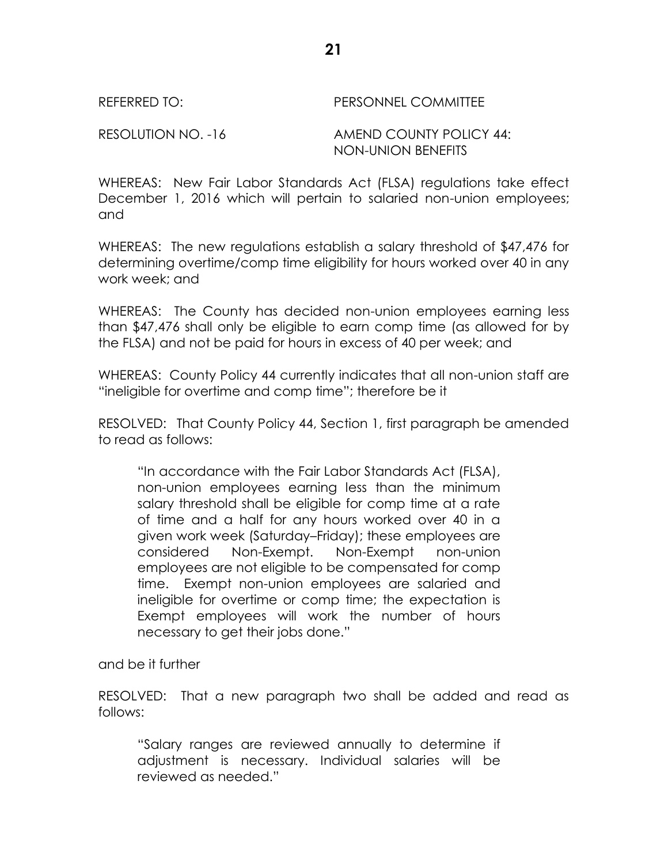REFERRED TO: PERSONNEL COMMITTEE

RESOLUTION NO. -16 AMEND COUNTY POLICY 44: NON-UNION BENEFITS

WHEREAS: New Fair Labor Standards Act (FLSA) regulations take effect December 1, 2016 which will pertain to salaried non-union employees; and

WHEREAS: The new regulations establish a salary threshold of \$47,476 for determining overtime/comp time eligibility for hours worked over 40 in any work week; and

WHEREAS: The County has decided non-union employees earning less than \$47,476 shall only be eligible to earn comp time (as allowed for by the FLSA) and not be paid for hours in excess of 40 per week; and

WHEREAS: County Policy 44 currently indicates that all non-union staff are "ineligible for overtime and comp time"; therefore be it

RESOLVED: That County Policy 44, Section 1, first paragraph be amended to read as follows:

"In accordance with the Fair Labor Standards Act (FLSA), non-union employees earning less than the minimum salary threshold shall be eligible for comp time at a rate of time and a half for any hours worked over 40 in a given work week (Saturday–Friday); these employees are considered Non-Exempt. Non-Exempt non-union employees are not eligible to be compensated for comp time. Exempt non-union employees are salaried and ineligible for overtime or comp time; the expectation is Exempt employees will work the number of hours necessary to get their jobs done."

and be it further

RESOLVED: That a new paragraph two shall be added and read as follows:

"Salary ranges are reviewed annually to determine if adjustment is necessary. Individual salaries will be reviewed as needed."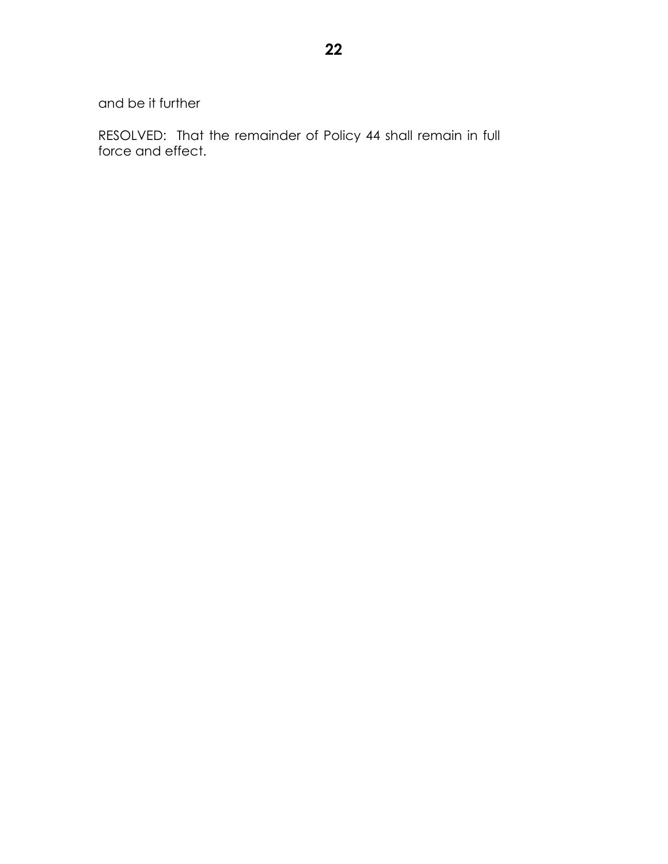and be it further

RESOLVED: That the remainder of Policy 44 shall remain in full force and effect.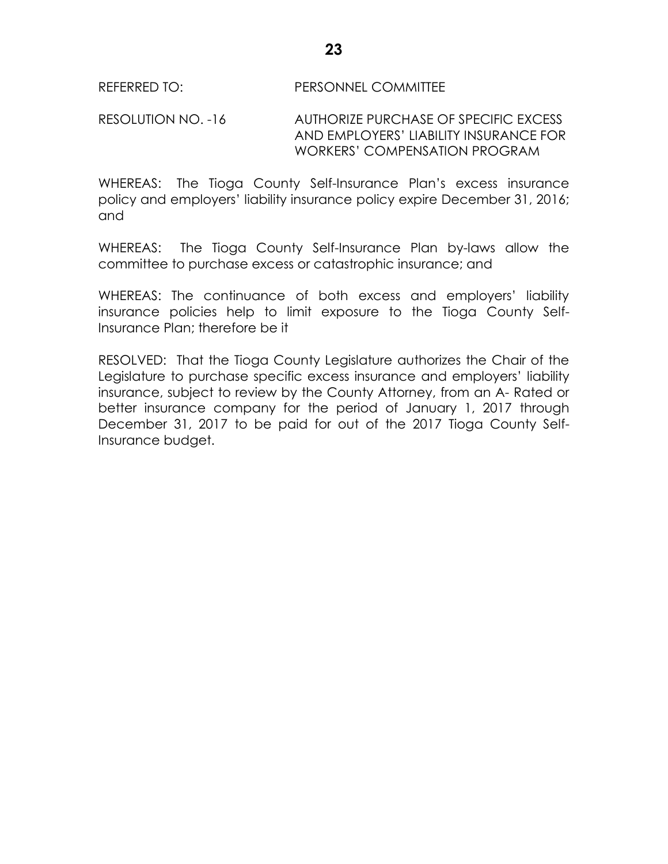#### REFERRED TO: PERSONNEL COMMITTEE

RESOLUTION NO. -16 AUTHORIZE PURCHASE OF SPECIFIC EXCESS AND EMPLOYERS' LIABILITY INSURANCE FOR WORKERS' COMPENSATION PROGRAM

WHEREAS: The Tioga County Self-Insurance Plan's excess insurance policy and employers' liability insurance policy expire December 31, 2016; and

WHEREAS: The Tioga County Self-Insurance Plan by-laws allow the committee to purchase excess or catastrophic insurance; and

WHEREAS: The continuance of both excess and employers' liability insurance policies help to limit exposure to the Tioga County Self-Insurance Plan; therefore be it

RESOLVED: That the Tioga County Legislature authorizes the Chair of the Legislature to purchase specific excess insurance and employers' liability insurance, subject to review by the County Attorney, from an A- Rated or better insurance company for the period of January 1, 2017 through December 31, 2017 to be paid for out of the 2017 Tioga County Self-Insurance budget.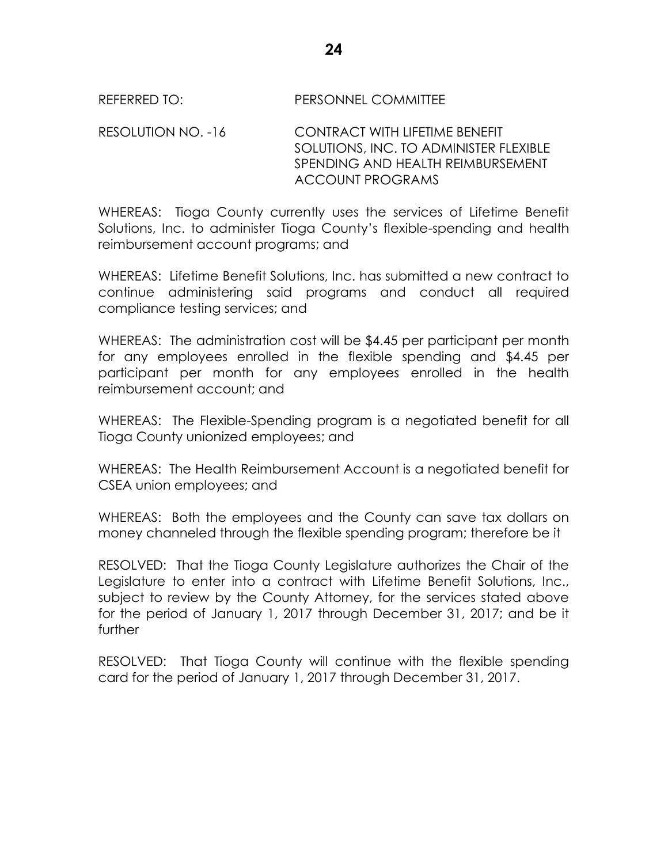### REFERRED TO: PERSONNEL COMMITTEE

RESOLUTION NO. -16 CONTRACT WITH LIFETIME BENEFIT SOLUTIONS, INC. TO ADMINISTER FLEXIBLE SPENDING AND HEALTH REIMBURSEMENT ACCOUNT PROGRAMS

WHEREAS: Tioga County currently uses the services of Lifetime Benefit Solutions, Inc. to administer Tioga County's flexible-spending and health reimbursement account programs; and

WHEREAS: Lifetime Benefit Solutions, Inc. has submitted a new contract to continue administering said programs and conduct all required compliance testing services; and

WHEREAS: The administration cost will be \$4.45 per participant per month for any employees enrolled in the flexible spending and \$4.45 per participant per month for any employees enrolled in the health reimbursement account; and

WHEREAS: The Flexible-Spending program is a negotiated benefit for all Tioga County unionized employees; and

WHEREAS: The Health Reimbursement Account is a negotiated benefit for CSEA union employees; and

WHEREAS: Both the employees and the County can save tax dollars on money channeled through the flexible spending program; therefore be it

RESOLVED: That the Tioga County Legislature authorizes the Chair of the Legislature to enter into a contract with Lifetime Benefit Solutions, Inc., subject to review by the County Attorney, for the services stated above for the period of January 1, 2017 through December 31, 2017; and be it further

RESOLVED: That Tioga County will continue with the flexible spending card for the period of January 1, 2017 through December 31, 2017.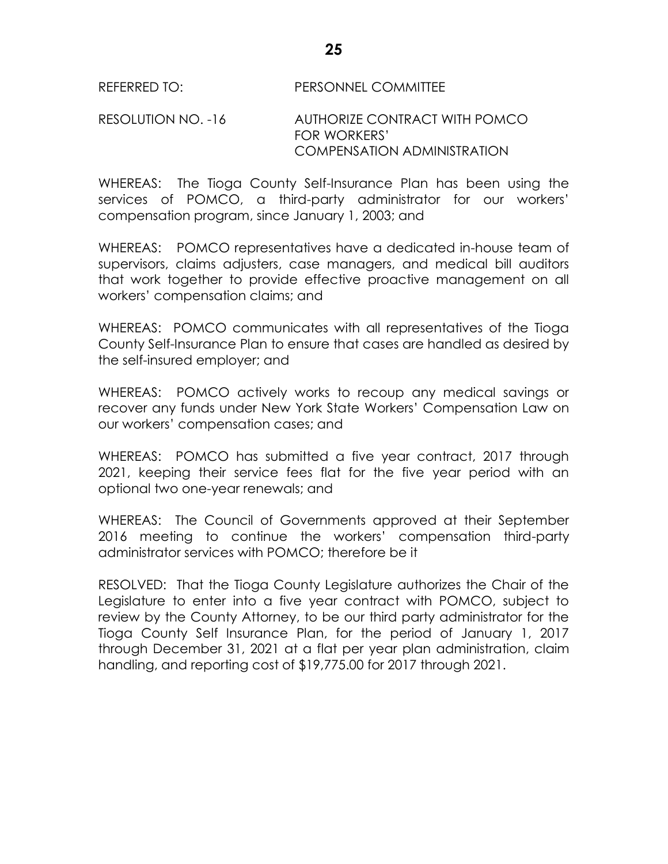#### RESOLUTION NO. -16 AUTHORIZE CONTRACT WITH POMCO FOR WORKERS' COMPENSATION ADMINISTRATION

WHEREAS: The Tioga County Self-Insurance Plan has been using the services of POMCO, a third-party administrator for our workers' compensation program, since January 1, 2003; and

WHEREAS: POMCO representatives have a dedicated in-house team of supervisors, claims adjusters, case managers, and medical bill auditors that work together to provide effective proactive management on all workers' compensation claims; and

WHEREAS: POMCO communicates with all representatives of the Tioga County Self-Insurance Plan to ensure that cases are handled as desired by the self-insured employer; and

WHEREAS: POMCO actively works to recoup any medical savings or recover any funds under New York State Workers' Compensation Law on our workers' compensation cases; and

WHEREAS: POMCO has submitted a five year contract, 2017 through 2021, keeping their service fees flat for the five year period with an optional two one-year renewals; and

WHEREAS: The Council of Governments approved at their September 2016 meeting to continue the workers' compensation third-party administrator services with POMCO; therefore be it

RESOLVED: That the Tioga County Legislature authorizes the Chair of the Legislature to enter into a five year contract with POMCO, subject to review by the County Attorney, to be our third party administrator for the Tioga County Self Insurance Plan, for the period of January 1, 2017 through December 31, 2021 at a flat per year plan administration, claim handling, and reporting cost of \$19,775.00 for 2017 through 2021.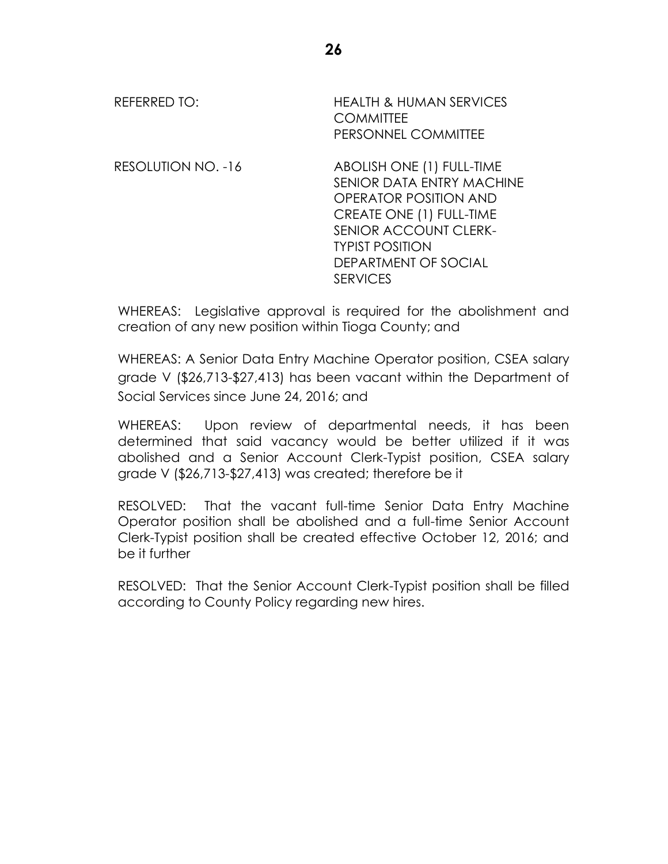| REFERRED TO:       | <b>HEALTH &amp; HUMAN SERVICES</b><br><b>COMMITTEE</b><br>PERSONNEL COMMITTEE                                                                                                                                    |
|--------------------|------------------------------------------------------------------------------------------------------------------------------------------------------------------------------------------------------------------|
| RESOLUTION NO. -16 | ABOLISH ONE (1) FULL-TIME<br>SENIOR DATA ENTRY MACHINE<br>OPERATOR POSITION AND<br>CREATE ONE (1) FULL-TIME<br><b>SENIOR ACCOUNT CLERK-</b><br><b>TYPIST POSITION</b><br>DEPARTMENT OF SOCIAL<br><b>SERVICES</b> |

WHEREAS: Legislative approval is required for the abolishment and creation of any new position within Tioga County; and

WHEREAS: A Senior Data Entry Machine Operator position, CSEA salary grade V (\$26,713-\$27,413) has been vacant within the Department of Social Services since June 24, 2016; and

WHEREAS: Upon review of departmental needs, it has been determined that said vacancy would be better utilized if it was abolished and a Senior Account Clerk-Typist position, CSEA salary grade V (\$26,713-\$27,413) was created; therefore be it

RESOLVED: That the vacant full-time Senior Data Entry Machine Operator position shall be abolished and a full-time Senior Account Clerk-Typist position shall be created effective October 12, 2016; and be it further

RESOLVED: That the Senior Account Clerk-Typist position shall be filled according to County Policy regarding new hires.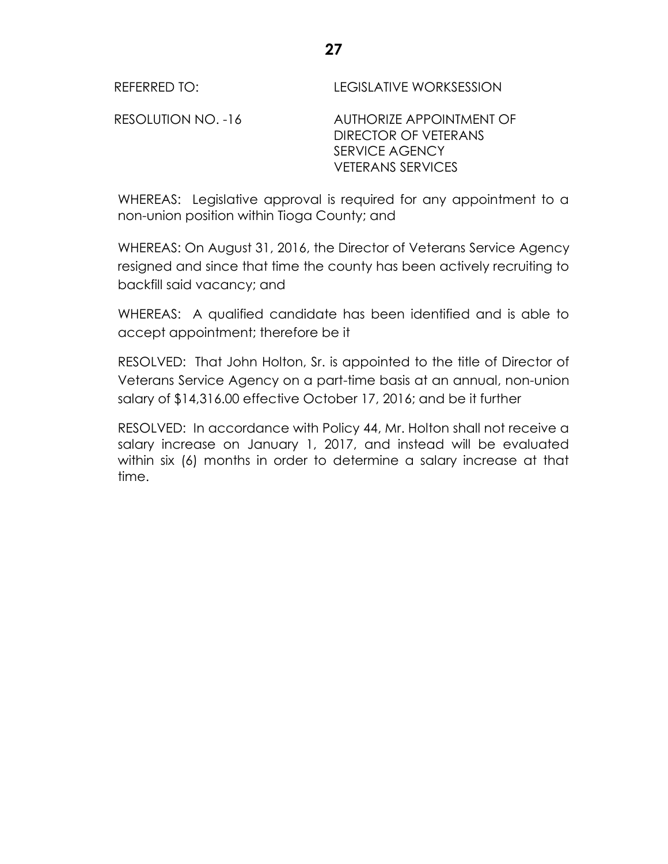REFERRED TO: LEGISLATIVE WORKSESSION

RESOLUTION NO. -16 AUTHORIZE APPOINTMENT OF DIRECTOR OF VETERANS SERVICE AGENCY VETERANS SERVICES

WHEREAS: Legislative approval is required for any appointment to a non-union position within Tioga County; and

WHEREAS: On August 31, 2016, the Director of Veterans Service Agency resigned and since that time the county has been actively recruiting to backfill said vacancy; and

WHEREAS: A qualified candidate has been identified and is able to accept appointment; therefore be it

RESOLVED: That John Holton, Sr. is appointed to the title of Director of Veterans Service Agency on a part-time basis at an annual, non-union salary of \$14,316.00 effective October 17, 2016; and be it further

RESOLVED: In accordance with Policy 44, Mr. Holton shall not receive a salary increase on January 1, 2017, and instead will be evaluated within six (6) months in order to determine a salary increase at that time.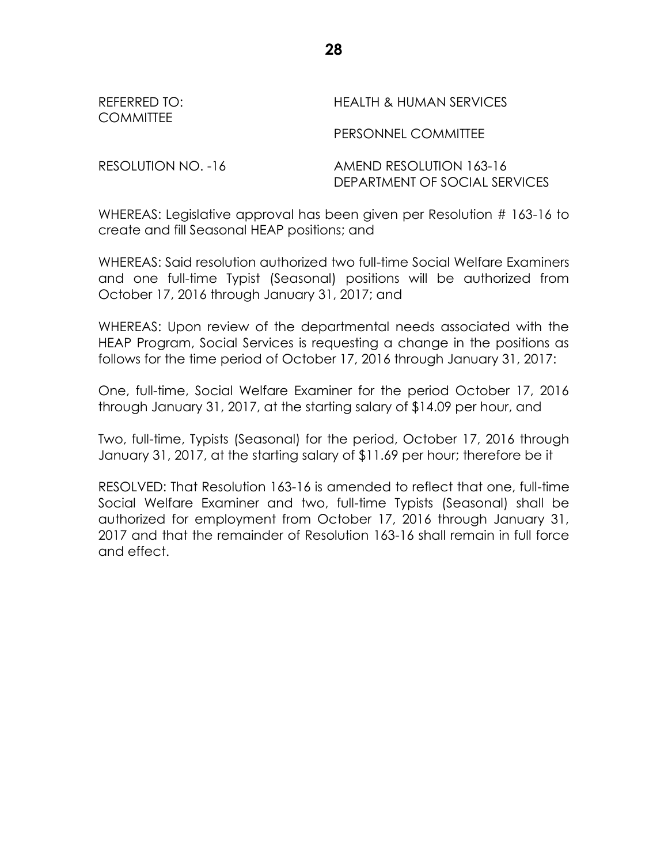| REFERRED TO:<br><b>COMMITTEE</b> | HEALTH & HUMAN SERVICES |
|----------------------------------|-------------------------|
|                                  | PERSONNEL COMMITTEE     |
|                                  |                         |

RESOLUTION NO. -16 AMEND RESOLUTION 163-16 DEPARTMENT OF SOCIAL SERVICES

WHEREAS: Legislative approval has been given per Resolution # 163-16 to create and fill Seasonal HEAP positions; and

WHEREAS: Said resolution authorized two full-time Social Welfare Examiners and one full-time Typist (Seasonal) positions will be authorized from October 17, 2016 through January 31, 2017; and

WHEREAS: Upon review of the departmental needs associated with the HEAP Program, Social Services is requesting a change in the positions as follows for the time period of October 17, 2016 through January 31, 2017:

One, full-time, Social Welfare Examiner for the period October 17, 2016 through January 31, 2017, at the starting salary of \$14.09 per hour, and

Two, full-time, Typists (Seasonal) for the period, October 17, 2016 through January 31, 2017, at the starting salary of \$11.69 per hour; therefore be it

RESOLVED: That Resolution 163-16 is amended to reflect that one, full-time Social Welfare Examiner and two, full-time Typists (Seasonal) shall be authorized for employment from October 17, 2016 through January 31, 2017 and that the remainder of Resolution 163-16 shall remain in full force and effect.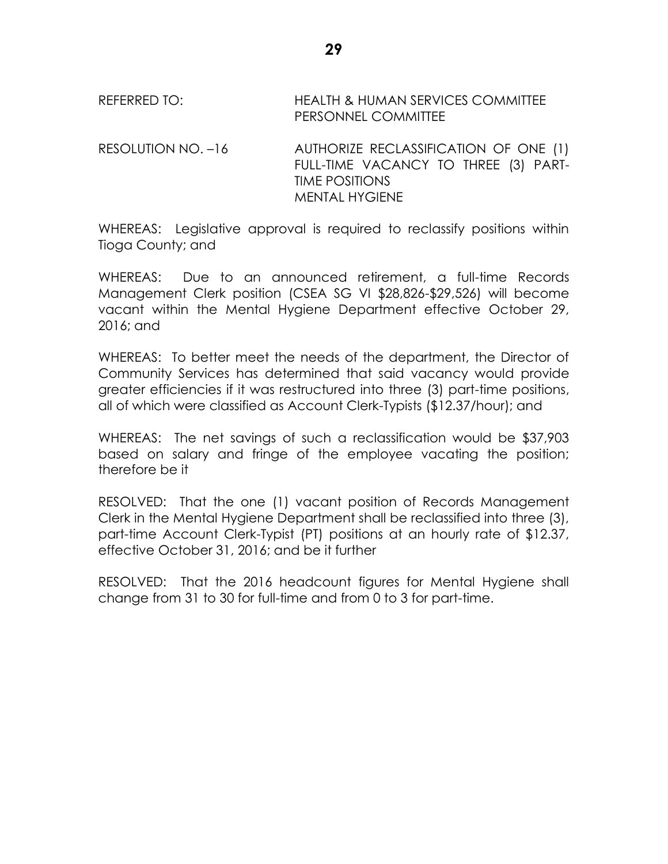REFERRED TO: HEALTH & HUMAN SERVICES COMMITTEE PERSONNEL COMMITTEE

RESOLUTION NO. -16 AUTHORIZE RECLASSIFICATION OF ONE (1) FULL-TIME VACANCY TO THREE (3) PART-TIME POSITIONS MENTAL HYGIENE

WHEREAS: Legislative approval is required to reclassify positions within Tioga County; and

WHEREAS: Due to an announced retirement, a full-time Records Management Clerk position (CSEA SG VI \$28,826-\$29,526) will become vacant within the Mental Hygiene Department effective October 29, 2016; and

WHEREAS: To better meet the needs of the department, the Director of Community Services has determined that said vacancy would provide greater efficiencies if it was restructured into three (3) part-time positions, all of which were classified as Account Clerk-Typists (\$12.37/hour); and

WHEREAS: The net savings of such a reclassification would be \$37,903 based on salary and fringe of the employee vacating the position; therefore be it

RESOLVED: That the one (1) vacant position of Records Management Clerk in the Mental Hygiene Department shall be reclassified into three (3), part-time Account Clerk-Typist (PT) positions at an hourly rate of \$12.37, effective October 31, 2016; and be it further

RESOLVED: That the 2016 headcount figures for Mental Hygiene shall change from 31 to 30 for full-time and from 0 to 3 for part-time.